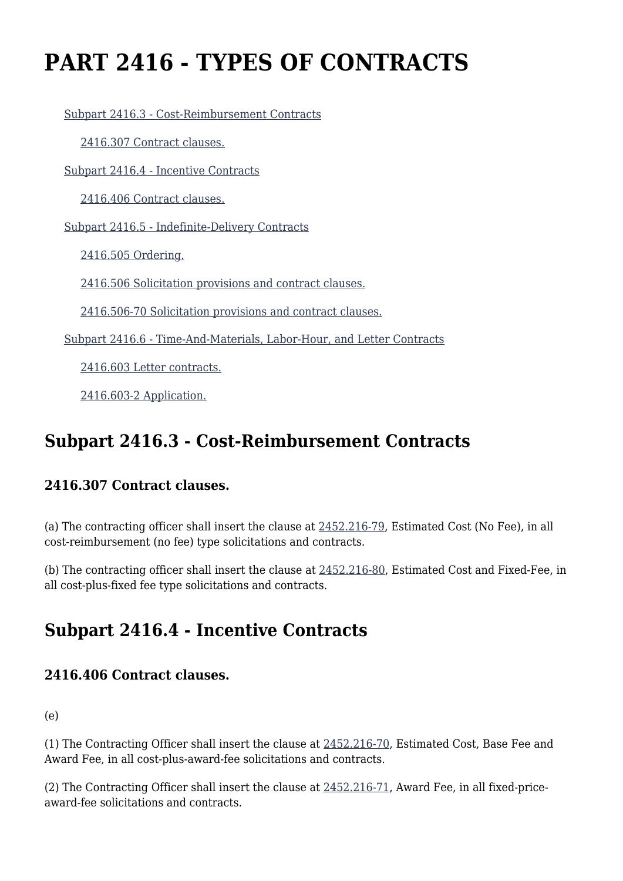# **PART 2416 - TYPES OF CONTRACTS**

[Subpart 2416.3 - Cost-Reimbursement Contracts](https://origin-www.acquisition.gov/%5Brp:link:hudar-part-2416%5D#Subpart_2416_3_T48_60950151)

[2416.307 Contract clauses.](https://origin-www.acquisition.gov/%5Brp:link:hudar-part-2416%5D#Section_2416_307_T48_6095015111)

[Subpart 2416.4 - Incentive Contracts](https://origin-www.acquisition.gov/%5Brp:link:hudar-part-2416%5D#Subpart_2416_4_T48_60950152)

[2416.406 Contract clauses.](https://origin-www.acquisition.gov/%5Brp:link:hudar-part-2416%5D#Section_2416_406_T48_6095015211)

[Subpart 2416.5 - Indefinite-Delivery Contracts](https://origin-www.acquisition.gov/%5Brp:link:hudar-part-2416%5D#Subpart_2416_5_T48_60950153)

[2416.505 Ordering.](https://origin-www.acquisition.gov/%5Brp:link:hudar-part-2416%5D#Section_2416_505_T48_6095015311)

[2416.506 Solicitation provisions and contract clauses.](https://origin-www.acquisition.gov/%5Brp:link:hudar-part-2416%5D#Section_2416_506_T48_6095015312)

[2416.506-70 Solicitation provisions and contract clauses.](https://origin-www.acquisition.gov/%5Brp:link:hudar-part-2416%5D#Section_2416_506_70_T48_6095015313)

[Subpart 2416.6 - Time-And-Materials, Labor-Hour, and Letter Contracts](https://origin-www.acquisition.gov/%5Brp:link:hudar-part-2416%5D#Subpart_2416_6_T48_60950154)

[2416.603 Letter contracts.](https://origin-www.acquisition.gov/%5Brp:link:hudar-part-2416%5D#Section_2416_603_T48_6095015411)

[2416.603-2 Application.](https://origin-www.acquisition.gov/%5Brp:link:hudar-part-2416%5D#Section_2416_603_2_T48_6095015412)

# **Subpart 2416.3 - Cost-Reimbursement Contracts**

## **2416.307 Contract clauses.**

(a) The contracting officer shall insert the clause at [2452.216-79,](https://origin-www.acquisition.gov/%5Brp:link:hudar-part-2452%5D#Section_2452_216_79_T48_60955371119) Estimated Cost (No Fee), in all cost-reimbursement (no fee) type solicitations and contracts.

(b) The contracting officer shall insert the clause at [2452.216-80](https://origin-www.acquisition.gov/%5Brp:link:hudar-part-2452%5D#Section_2452_216_80_T48_60955371120), Estimated Cost and Fixed-Fee, in all cost-plus-fixed fee type solicitations and contracts.

# **Subpart 2416.4 - Incentive Contracts**

## **2416.406 Contract clauses.**

(e)

(1) The Contracting Officer shall insert the clause at [2452.216-70](https://origin-www.acquisition.gov/%5Brp:link:hudar-part-2452%5D#Section_2452_216_70_T48_60955371110), Estimated Cost, Base Fee and Award Fee, in all cost-plus-award-fee solicitations and contracts.

(2) The Contracting Officer shall insert the clause at [2452.216-71](https://origin-www.acquisition.gov/%5Brp:link:hudar-part-2452%5D#Section_2452_216_71_T48_60955371111), Award Fee, in all fixed-priceaward-fee solicitations and contracts.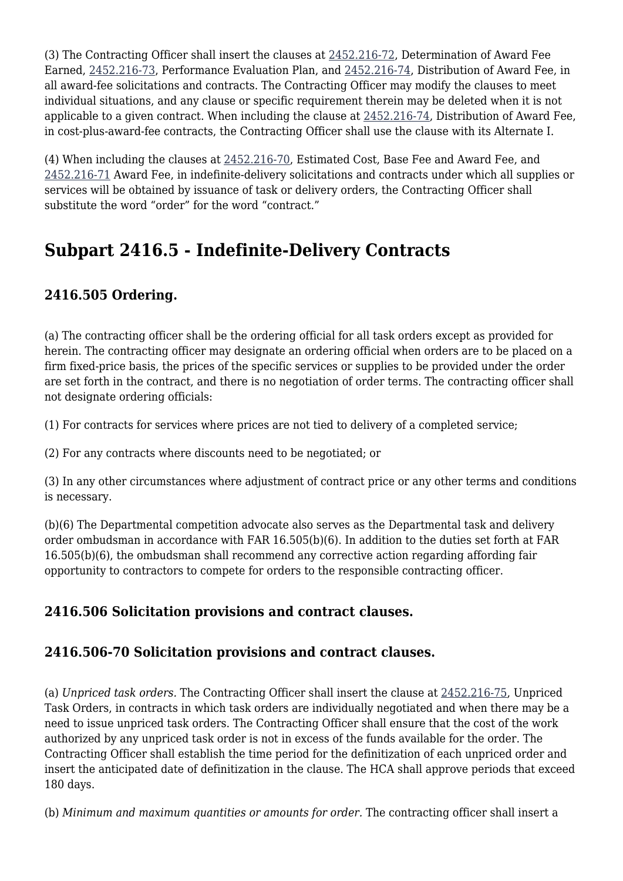(3) The Contracting Officer shall insert the clauses at [2452.216-72](https://origin-www.acquisition.gov/%5Brp:link:hudar-part-2452%5D#Section_2452_216_72_T48_60955371112), Determination of Award Fee Earned, [2452.216-73](https://origin-www.acquisition.gov/%5Brp:link:hudar-part-2452%5D#Section_2452_216_73_T48_60955371113), Performance Evaluation Plan, and [2452.216-74](https://origin-www.acquisition.gov/%5Brp:link:hudar-part-2452%5D#Section_2452_216_74_T48_60955371114), Distribution of Award Fee, in all award-fee solicitations and contracts. The Contracting Officer may modify the clauses to meet individual situations, and any clause or specific requirement therein may be deleted when it is not applicable to a given contract. When including the clause at [2452.216-74,](https://origin-www.acquisition.gov/%5Brp:link:hudar-part-2452%5D#Section_2452_216_74_T48_60955371114) Distribution of Award Fee, in cost-plus-award-fee contracts, the Contracting Officer shall use the clause with its Alternate I.

(4) When including the clauses at [2452.216-70](https://origin-www.acquisition.gov/%5Brp:link:hudar-part-2452%5D#Section_2452_216_70_T48_60955371110), Estimated Cost, Base Fee and Award Fee, and [2452.216-71](https://origin-www.acquisition.gov/%5Brp:link:hudar-part-2452%5D#Section_2452_216_71_T48_60955371111) Award Fee, in indefinite-delivery solicitations and contracts under which all supplies or services will be obtained by issuance of task or delivery orders, the Contracting Officer shall substitute the word "order" for the word "contract."

# **Subpart 2416.5 - Indefinite-Delivery Contracts**

# **2416.505 Ordering.**

(a) The contracting officer shall be the ordering official for all task orders except as provided for herein. The contracting officer may designate an ordering official when orders are to be placed on a firm fixed-price basis, the prices of the specific services or supplies to be provided under the order are set forth in the contract, and there is no negotiation of order terms. The contracting officer shall not designate ordering officials:

(1) For contracts for services where prices are not tied to delivery of a completed service;

(2) For any contracts where discounts need to be negotiated; or

(3) In any other circumstances where adjustment of contract price or any other terms and conditions is necessary.

(b)(6) The Departmental competition advocate also serves as the Departmental task and delivery order ombudsman in accordance with FAR 16.505(b)(6). In addition to the duties set forth at FAR 16.505(b)(6), the ombudsman shall recommend any corrective action regarding affording fair opportunity to contractors to compete for orders to the responsible contracting officer.

## **2416.506 Solicitation provisions and contract clauses.**

## **2416.506-70 Solicitation provisions and contract clauses.**

(a) *Unpriced task orders.* The Contracting Officer shall insert the clause at [2452.216-75,](https://origin-www.acquisition.gov/%5Brp:link:hudar-part-2452%5D#Section_2452_216_75_T48_60955371115) Unpriced Task Orders, in contracts in which task orders are individually negotiated and when there may be a need to issue unpriced task orders. The Contracting Officer shall ensure that the cost of the work authorized by any unpriced task order is not in excess of the funds available for the order. The Contracting Officer shall establish the time period for the definitization of each unpriced order and insert the anticipated date of definitization in the clause. The HCA shall approve periods that exceed 180 days.

(b) *Minimum and maximum quantities or amounts for order.* The contracting officer shall insert a